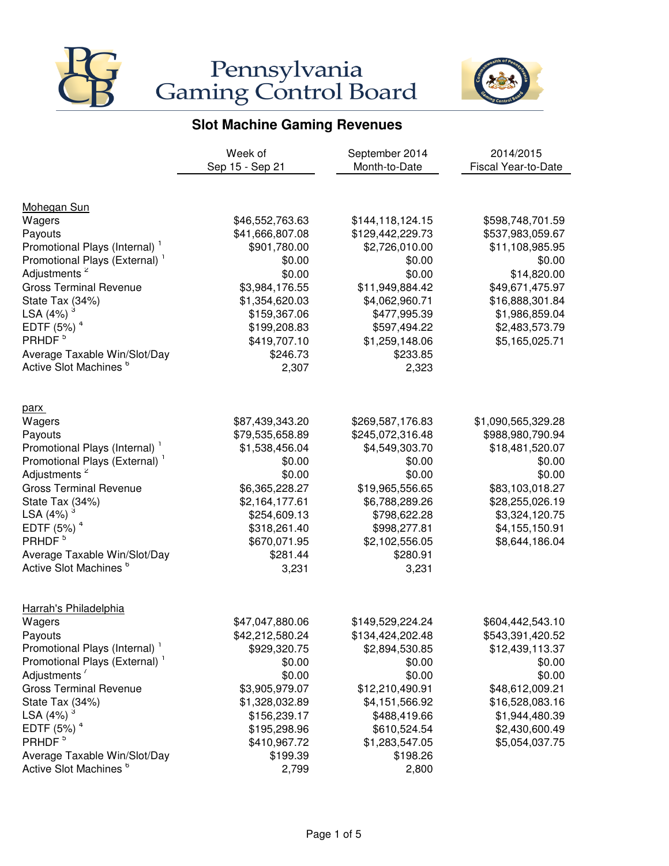



|                                           | Week of         | September 2014   | 2014/2015           |
|-------------------------------------------|-----------------|------------------|---------------------|
|                                           | Sep 15 - Sep 21 | Month-to-Date    | Fiscal Year-to-Date |
|                                           |                 |                  |                     |
| <b>Mohegan Sun</b>                        |                 |                  |                     |
| Wagers                                    | \$46,552,763.63 | \$144,118,124.15 | \$598,748,701.59    |
| Payouts                                   | \$41,666,807.08 | \$129,442,229.73 | \$537,983,059.67    |
| Promotional Plays (Internal) <sup>1</sup> | \$901,780.00    | \$2,726,010.00   | \$11,108,985.95     |
| Promotional Plays (External) <sup>1</sup> | \$0.00          | \$0.00           | \$0.00              |
| Adjustments <sup>2</sup>                  | \$0.00          | \$0.00           | \$14,820.00         |
| <b>Gross Terminal Revenue</b>             | \$3,984,176.55  | \$11,949,884.42  | \$49,671,475.97     |
| State Tax (34%)                           | \$1,354,620.03  | \$4,062,960.71   | \$16,888,301.84     |
| LSA $(4%)$ <sup>3</sup>                   | \$159,367.06    | \$477,995.39     | \$1,986,859.04      |
| EDTF $(5%)$ <sup>4</sup>                  | \$199,208.83    | \$597,494.22     | \$2,483,573.79      |
| PRHDF <sup>5</sup>                        | \$419,707.10    | \$1,259,148.06   | \$5,165,025.71      |
| Average Taxable Win/Slot/Day              | \$246.73        | \$233.85         |                     |
| Active Slot Machines <sup>6</sup>         | 2,307           | 2,323            |                     |
| parx                                      |                 |                  |                     |
| Wagers                                    | \$87,439,343.20 | \$269,587,176.83 | \$1,090,565,329.28  |
| Payouts                                   | \$79,535,658.89 | \$245,072,316.48 | \$988,980,790.94    |
| Promotional Plays (Internal) <sup>1</sup> | \$1,538,456.04  | \$4,549,303.70   | \$18,481,520.07     |
| Promotional Plays (External) <sup>1</sup> | \$0.00          | \$0.00           | \$0.00              |
| Adjustments <sup>2</sup>                  | \$0.00          | \$0.00           | \$0.00              |
| <b>Gross Terminal Revenue</b>             | \$6,365,228.27  | \$19,965,556.65  | \$83,103,018.27     |
| State Tax (34%)                           | \$2,164,177.61  | \$6,788,289.26   | \$28,255,026.19     |
| LSA $(4%)$ <sup>3</sup>                   | \$254,609.13    | \$798,622.28     | \$3,324,120.75      |
| EDTF (5%) <sup>4</sup>                    | \$318,261.40    | \$998,277.81     | \$4,155,150.91      |
| PRHDF <sup>5</sup>                        | \$670,071.95    | \$2,102,556.05   | \$8,644,186.04      |
| Average Taxable Win/Slot/Day              | \$281.44        | \$280.91         |                     |
| Active Slot Machines <sup>6</sup>         | 3,231           | 3,231            |                     |
| Harrah's Philadelphia                     |                 |                  |                     |
| Wagers                                    | \$47,047,880.06 | \$149,529,224.24 | \$604,442,543.10    |
| Payouts                                   | \$42,212,580.24 | \$134,424,202.48 | \$543,391,420.52    |
| Promotional Plays (Internal) <sup>1</sup> | \$929,320.75    | \$2,894,530.85   | \$12,439,113.37     |
| Promotional Plays (External) <sup>1</sup> | \$0.00          | \$0.00           | \$0.00              |
| Adjustments'                              | \$0.00          | \$0.00           | \$0.00              |
| <b>Gross Terminal Revenue</b>             | \$3,905,979.07  | \$12,210,490.91  | \$48,612,009.21     |
| State Tax (34%)                           | \$1,328,032.89  | \$4,151,566.92   | \$16,528,083.16     |
| LSA (4%)                                  | \$156,239.17    | \$488,419.66     | \$1,944,480.39      |
| EDTF $(5%)$ <sup>4</sup>                  | \$195,298.96    | \$610,524.54     | \$2,430,600.49      |
| PRHDF <sup>5</sup>                        | \$410,967.72    | \$1,283,547.05   | \$5,054,037.75      |
| Average Taxable Win/Slot/Day              | \$199.39        | \$198.26         |                     |
| Active Slot Machines <sup>6</sup>         | 2,799           | 2,800            |                     |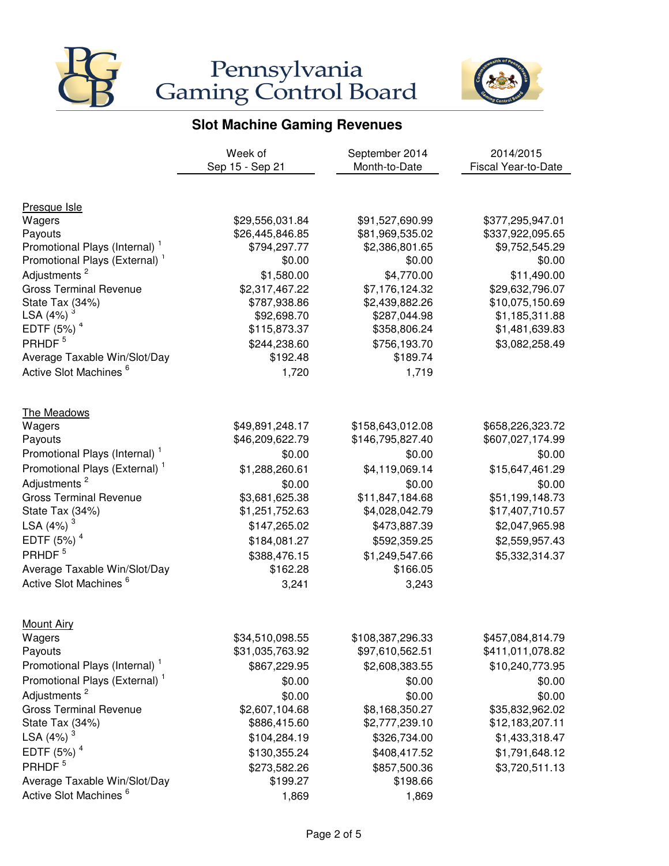



|                                           | Week of         | September 2014             | 2014/2015           |
|-------------------------------------------|-----------------|----------------------------|---------------------|
|                                           | Sep 15 - Sep 21 | Month-to-Date              | Fiscal Year-to-Date |
|                                           |                 |                            |                     |
| Presque Isle                              |                 |                            |                     |
| Wagers                                    | \$29,556,031.84 | \$91,527,690.99            | \$377,295,947.01    |
| Payouts                                   | \$26,445,846.85 | \$81,969,535.02            | \$337,922,095.65    |
| Promotional Plays (Internal)              | \$794,297.77    | \$2,386,801.65             | \$9,752,545.29      |
| Promotional Plays (External) <sup>1</sup> | \$0.00          | \$0.00                     | \$0.00              |
| Adjustments <sup>2</sup>                  | \$1,580.00      | \$4,770.00                 | \$11,490.00         |
| <b>Gross Terminal Revenue</b>             | \$2,317,467.22  | \$7,176,124.32             | \$29,632,796.07     |
| State Tax (34%)                           | \$787,938.86    | \$2,439,882.26             | \$10,075,150.69     |
| LSA (4%)                                  | \$92,698.70     | \$287,044.98               | \$1,185,311.88      |
| EDTF $(5%)$ <sup>4</sup>                  | \$115,873.37    | \$358,806.24               | \$1,481,639.83      |
| PRHDF <sup>5</sup>                        | \$244,238.60    | \$756,193.70               | \$3,082,258.49      |
| Average Taxable Win/Slot/Day              | \$192.48        | \$189.74                   |                     |
| Active Slot Machines <sup>6</sup>         | 1,720           | 1,719                      |                     |
| The Meadows                               |                 |                            |                     |
| Wagers                                    | \$49,891,248.17 | \$158,643,012.08           | \$658,226,323.72    |
| Payouts                                   | \$46,209,622.79 | \$146,795,827.40           | \$607,027,174.99    |
| Promotional Plays (Internal) <sup>1</sup> | \$0.00          | \$0.00                     | \$0.00              |
| Promotional Plays (External) <sup>1</sup> | \$1,288,260.61  | \$4,119,069.14             | \$15,647,461.29     |
| Adjustments <sup>2</sup>                  | \$0.00          | \$0.00                     | \$0.00              |
| <b>Gross Terminal Revenue</b>             | \$3,681,625.38  | \$11,847,184.68            | \$51,199,148.73     |
| State Tax (34%)                           | \$1,251,752.63  | \$4,028,042.79             | \$17,407,710.57     |
| LSA $(4%)$ <sup>3</sup>                   | \$147,265.02    | \$473,887.39               | \$2,047,965.98      |
| EDTF $(5%)4$                              | \$184,081.27    | \$592,359.25               | \$2,559,957.43      |
| PRHDF <sup>5</sup>                        | \$388,476.15    |                            | \$5,332,314.37      |
| Average Taxable Win/Slot/Day              | \$162.28        | \$1,249,547.66<br>\$166.05 |                     |
| Active Slot Machines <sup>6</sup>         |                 | 3,243                      |                     |
|                                           | 3,241           |                            |                     |
| <b>Mount Airy</b>                         |                 |                            |                     |
| Wagers                                    | \$34,510,098.55 | \$108,387,296.33           | \$457,084,814.79    |
| Payouts                                   | \$31,035,763.92 | \$97,610,562.51            | \$411,011,078.82    |
| Promotional Plays (Internal) <sup>1</sup> | \$867,229.95    | \$2,608,383.55             | \$10,240,773.95     |
| Promotional Plays (External) <sup>1</sup> | \$0.00          | \$0.00                     | \$0.00              |
| Adjustments <sup>2</sup>                  | \$0.00          | \$0.00                     | \$0.00              |
| <b>Gross Terminal Revenue</b>             | \$2,607,104.68  | \$8,168,350.27             | \$35,832,962.02     |
| State Tax (34%)                           | \$886,415.60    | \$2,777,239.10             | \$12,183,207.11     |
| LSA $(4%)$ <sup>3</sup>                   | \$104,284.19    | \$326,734.00               | \$1,433,318.47      |
| EDTF $(5%)4$                              | \$130,355.24    | \$408,417.52               | \$1,791,648.12      |
| PRHDF <sup>5</sup>                        | \$273,582.26    | \$857,500.36               | \$3,720,511.13      |
| Average Taxable Win/Slot/Day              | \$199.27        | \$198.66                   |                     |
| Active Slot Machines <sup>6</sup>         | 1,869           | 1,869                      |                     |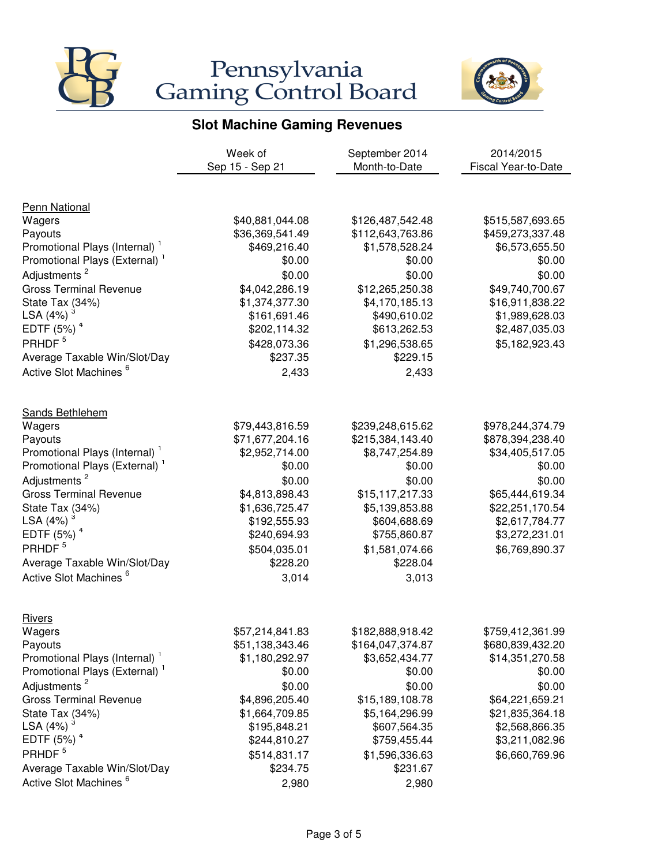



|                                           | Week of         | September 2014   | 2014/2015                  |
|-------------------------------------------|-----------------|------------------|----------------------------|
|                                           | Sep 15 - Sep 21 | Month-to-Date    | <b>Fiscal Year-to-Date</b> |
|                                           |                 |                  |                            |
| <b>Penn National</b>                      |                 |                  |                            |
| Wagers                                    | \$40,881,044.08 | \$126,487,542.48 | \$515,587,693.65           |
| Payouts                                   | \$36,369,541.49 | \$112,643,763.86 | \$459,273,337.48           |
| Promotional Plays (Internal) <sup>1</sup> | \$469,216.40    | \$1,578,528.24   | \$6,573,655.50             |
| Promotional Plays (External) <sup>1</sup> | \$0.00          | \$0.00           | \$0.00                     |
| Adjustments <sup>2</sup>                  | \$0.00          | \$0.00           | \$0.00                     |
| <b>Gross Terminal Revenue</b>             | \$4,042,286.19  | \$12,265,250.38  | \$49,740,700.67            |
| State Tax (34%)                           | \$1,374,377.30  | \$4,170,185.13   | \$16,911,838.22            |
| LSA (4%)                                  | \$161,691.46    | \$490,610.02     | \$1,989,628.03             |
| EDTF $(5%)$ <sup>4</sup>                  | \$202,114.32    | \$613,262.53     | \$2,487,035.03             |
| PRHDF <sup>5</sup>                        | \$428,073.36    | \$1,296,538.65   | \$5,182,923.43             |
| Average Taxable Win/Slot/Day              | \$237.35        | \$229.15         |                            |
| Active Slot Machines <sup>6</sup>         | 2,433           | 2,433            |                            |
| Sands Bethlehem                           |                 |                  |                            |
| Wagers                                    | \$79,443,816.59 | \$239,248,615.62 | \$978,244,374.79           |
| Payouts                                   | \$71,677,204.16 | \$215,384,143.40 | \$878,394,238.40           |
| Promotional Plays (Internal) <sup>1</sup> | \$2,952,714.00  | \$8,747,254.89   | \$34,405,517.05            |
| Promotional Plays (External) <sup>1</sup> | \$0.00          | \$0.00           | \$0.00                     |
| Adjustments <sup>2</sup>                  | \$0.00          | \$0.00           | \$0.00                     |
| <b>Gross Terminal Revenue</b>             | \$4,813,898.43  | \$15,117,217.33  | \$65,444,619.34            |
| State Tax (34%)                           | \$1,636,725.47  | \$5,139,853.88   | \$22,251,170.54            |
| LSA (4%)                                  | \$192,555.93    | \$604,688.69     | \$2,617,784.77             |
| EDTF $(5%)$ <sup>4</sup>                  | \$240,694.93    | \$755,860.87     | \$3,272,231.01             |
| PRHDF <sup>5</sup>                        | \$504,035.01    | \$1,581,074.66   | \$6,769,890.37             |
| Average Taxable Win/Slot/Day              | \$228.20        | \$228.04         |                            |
| Active Slot Machines <sup>6</sup>         |                 |                  |                            |
|                                           | 3,014           | 3,013            |                            |
| <b>Rivers</b>                             |                 |                  |                            |
| Wagers                                    | \$57,214,841.83 | \$182,888,918.42 | \$759,412,361.99           |
| Payouts                                   | \$51,138,343.46 | \$164,047,374.87 | \$680,839,432.20           |
| Promotional Plays (Internal) <sup>1</sup> | \$1,180,292.97  | \$3,652,434.77   | \$14,351,270.58            |
| Promotional Plays (External) <sup>1</sup> | \$0.00          | \$0.00           | \$0.00                     |
| Adjustments <sup>2</sup>                  | \$0.00          | \$0.00           | \$0.00                     |
| <b>Gross Terminal Revenue</b>             | \$4,896,205.40  | \$15,189,108.78  | \$64,221,659.21            |
| State Tax (34%)                           | \$1,664,709.85  | \$5,164,296.99   | \$21,835,364.18            |
| LSA $(4%)$ <sup>3</sup>                   | \$195,848.21    | \$607,564.35     | \$2,568,866.35             |
| EDTF $(5%)$ <sup>4</sup>                  | \$244,810.27    | \$759,455.44     | \$3,211,082.96             |
| PRHDF <sup>5</sup>                        | \$514,831.17    | \$1,596,336.63   | \$6,660,769.96             |
| Average Taxable Win/Slot/Day              | \$234.75        | \$231.67         |                            |
| Active Slot Machines <sup>6</sup>         | 2,980           | 2,980            |                            |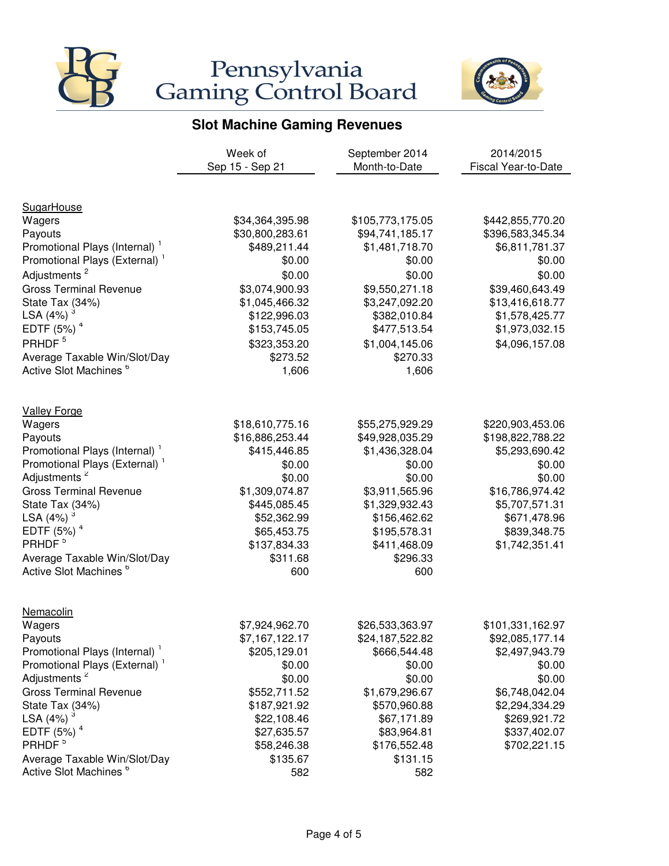



|                                           | Week of         | September 2014   | 2014/2015           |
|-------------------------------------------|-----------------|------------------|---------------------|
|                                           | Sep 15 - Sep 21 | Month-to-Date    | Fiscal Year-to-Date |
|                                           |                 |                  |                     |
| <b>SugarHouse</b>                         |                 |                  |                     |
| Wagers                                    | \$34,364,395.98 | \$105,773,175.05 | \$442,855,770.20    |
| Payouts                                   | \$30,800,283.61 | \$94,741,185.17  | \$396,583,345.34    |
| Promotional Plays (Internal) <sup>1</sup> | \$489,211.44    | \$1,481,718.70   | \$6,811,781.37      |
| Promotional Plays (External) <sup>1</sup> | \$0.00          | \$0.00           | \$0.00              |
| Adjustments <sup>2</sup>                  | \$0.00          | \$0.00           | \$0.00              |
| <b>Gross Terminal Revenue</b>             | \$3,074,900.93  | \$9,550,271.18   | \$39,460,643.49     |
| State Tax (34%)                           | \$1,045,466.32  | \$3,247,092.20   | \$13,416,618.77     |
| LSA (4%)                                  | \$122,996.03    | \$382,010.84     | \$1,578,425.77      |
| EDTF $(5%)$ <sup>4</sup>                  | \$153,745.05    | \$477,513.54     | \$1,973,032.15      |
| PRHDF <sup>5</sup>                        | \$323,353.20    | \$1,004,145.06   | \$4,096,157.08      |
| Average Taxable Win/Slot/Day              | \$273.52        | \$270.33         |                     |
| Active Slot Machines <sup>6</sup>         | 1,606           | 1,606            |                     |
| <b>Valley Forge</b>                       |                 |                  |                     |
| Wagers                                    | \$18,610,775.16 | \$55,275,929.29  | \$220,903,453.06    |
| Payouts                                   | \$16,886,253.44 | \$49,928,035.29  | \$198,822,788.22    |
| Promotional Plays (Internal) <sup>1</sup> | \$415,446.85    | \$1,436,328.04   | \$5,293,690.42      |
| Promotional Plays (External) <sup>1</sup> | \$0.00          | \$0.00           | \$0.00              |
| Adjustments <sup>2</sup>                  | \$0.00          | \$0.00           | \$0.00              |
| <b>Gross Terminal Revenue</b>             | \$1,309,074.87  | \$3,911,565.96   | \$16,786,974.42     |
| State Tax (34%)                           | \$445,085.45    | \$1,329,932.43   | \$5,707,571.31      |
| LSA (4%)                                  | \$52,362.99     | \$156,462.62     | \$671,478.96        |
| EDTF $(5%)$ <sup>4</sup>                  | \$65,453.75     | \$195,578.31     | \$839,348.75        |
| PRHDF <sup>5</sup>                        | \$137,834.33    | \$411,468.09     | \$1,742,351.41      |
| Average Taxable Win/Slot/Day              | \$311.68        | \$296.33         |                     |
| Active Slot Machines <sup>6</sup>         | 600             | 600              |                     |
|                                           |                 |                  |                     |
| Nemacolin                                 |                 |                  |                     |
| Wagers                                    | \$7,924,962.70  | \$26,533,363.97  | \$101,331,162.97    |
| Payouts                                   | \$7,167,122.17  | \$24,187,522.82  | \$92,085,177.14     |
| Promotional Plays (Internal) <sup>1</sup> | \$205,129.01    | \$666,544.48     | \$2,497,943.79      |
| Promotional Plays (External) <sup>1</sup> | \$0.00          | \$0.00           | \$0.00              |
| Adjustments <sup>2</sup>                  | \$0.00          | \$0.00           | \$0.00              |
| <b>Gross Terminal Revenue</b>             | \$552,711.52    | \$1,679,296.67   | \$6,748,042.04      |
| State Tax (34%)                           | \$187,921.92    | \$570,960.88     | \$2,294,334.29      |
| LSA (4%)                                  | \$22,108.46     | \$67,171.89      | \$269,921.72        |
| EDTF $(5%)$ <sup>4</sup>                  | \$27,635.57     | \$83,964.81      | \$337,402.07        |
| PRHDF <sup>5</sup>                        | \$58,246.38     | \$176,552.48     | \$702,221.15        |
| Average Taxable Win/Slot/Day              | \$135.67        | \$131.15         |                     |
| Active Slot Machines <sup>6</sup>         | 582             | 582              |                     |